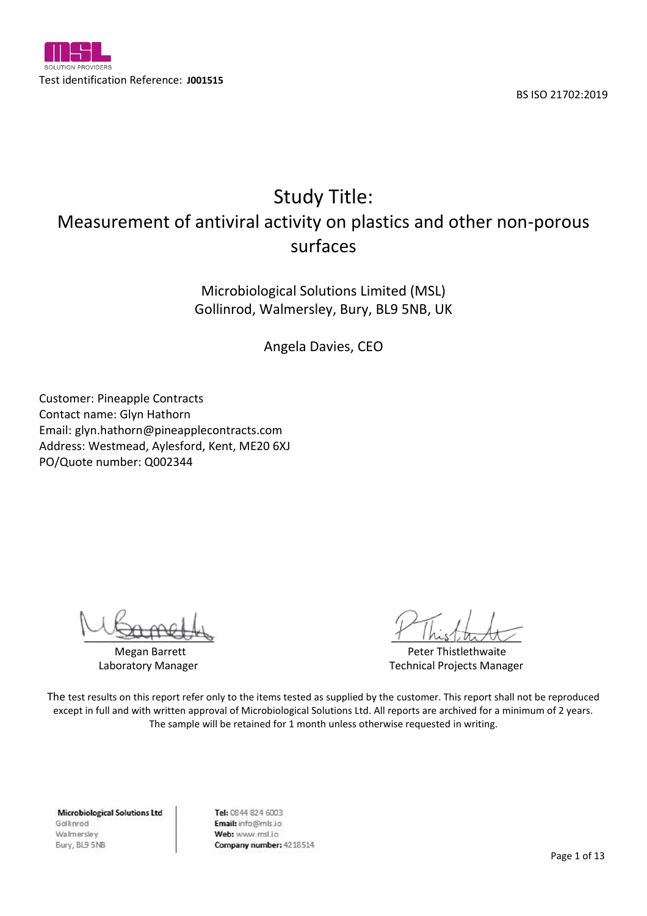

# Study Title: Measurement of antiviral activity on plastics and other non-porous surfaces

Microbiological Solutions Limited (MSL) Gollinrod, Walmersley, Bury, BL9 5NB, UK

Angela Davies, CEO

Customer: Pineapple Contracts Contact name: Glyn Hathorn Email: glyn.hathorn@pineapplecontracts.com Address: Westmead, Aylesford, Kent, ME20 6XJ PO/Quote number: Q002344

\_\_\_\_\_\_\_\_\_\_\_\_\_\_\_\_\_\_\_\_ \_\_\_\_\_\_\_\_\_\_\_\_\_\_\_\_\_\_\_\_

Megan Barrett **Peter Thistlethwaite** Peter Thistlethwaite Laboratory Manager Technical Projects Manager

The test results on this report refer only to the items tested as supplied by the customer. This report shall not be reproduced except in full and with written approval of Microbiological Solutions Ltd. All reports are archived for a minimum of 2 years. The sample will be retained for 1 month unless otherwise requested in writing.

**Microbiological Solutions Ltd** Gollinrod Walmersley Bury, BL9 5NB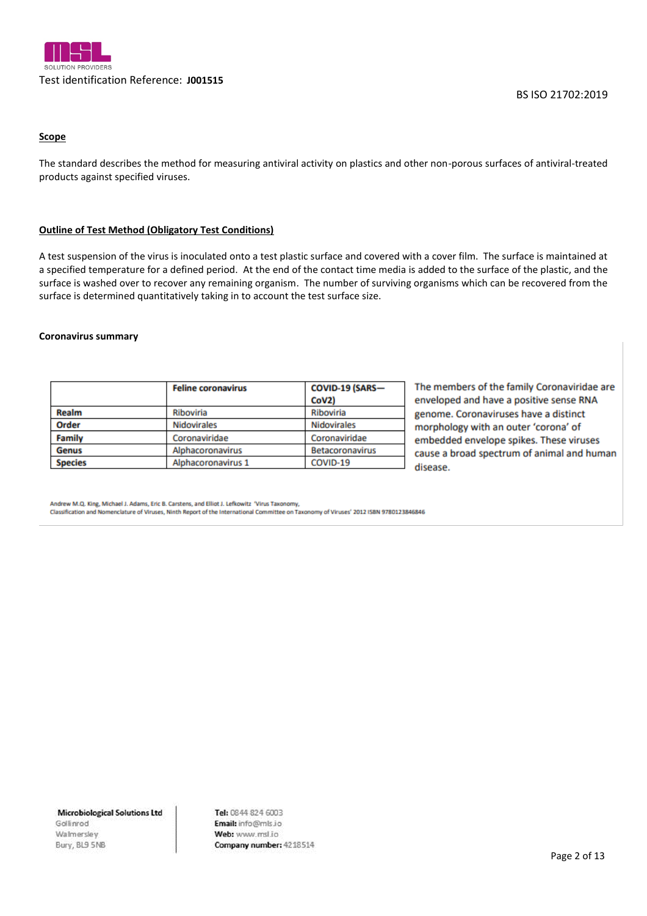

#### **Scope**

The standard describes the method for measuring antiviral activity on plastics and other non-porous surfaces of antiviral-treated products against specified viruses.

#### **Outline of Test Method (Obligatory Test Conditions)**

A test suspension of the virus is inoculated onto a test plastic surface and covered with a cover film. The surface is maintained at a specified temperature for a defined period. At the end of the contact time media is added to the surface of the plastic, and the surface is washed over to recover any remaining organism. The number of surviving organisms which can be recovered from the surface is determined quantitatively taking in to account the test surface size.

#### **Coronavirus summary**

|                | <b>Feline coronavirus</b> | COVID-19 (SARS-        |
|----------------|---------------------------|------------------------|
|                |                           | CoV <sub>2</sub> )     |
| Realm          | Riboviria                 | Riboviria              |
| Order          | <b>Nidovirales</b>        | <b>Nidovirales</b>     |
| <b>Family</b>  | Coronaviridae             | Coronaviridae          |
| <b>Genus</b>   | Alphacoronavirus          | <b>Betacoronavirus</b> |
| <b>Species</b> | Alphacoronavirus 1        | COVID-19               |

The members of the family Coronaviridae are enveloped and have a positive sense RNA genome. Coronaviruses have a distinct morphology with an outer 'corona' of embedded envelope spikes. These viruses cause a broad spectrum of animal and human disease.

Andrew M.Q. King, Michael J. Adams, Eric B. Carstens, and Elliot J. Lefkowitz 'Virus Taxonomy,

Classification and Nomenclature of Viruses, Ninth Report of the International Committee on Taxonomy of Viruses' 2012 ISBN 9780123846846

**Microbiological Solutions Ltd** 

Gollinrod Walmersley Bury, BL9 5NB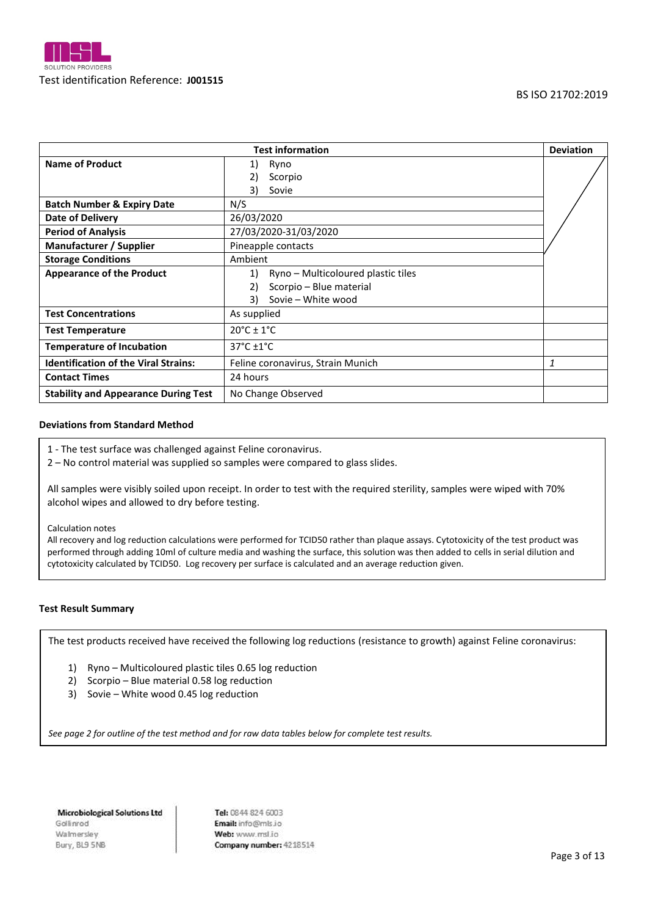

|                                             | <b>Test information</b>                  | <b>Deviation</b> |
|---------------------------------------------|------------------------------------------|------------------|
| <b>Name of Product</b>                      | Ryno<br>1)                               |                  |
|                                             | 2)<br>Scorpio                            |                  |
|                                             | 3)<br>Sovie                              |                  |
| <b>Batch Number &amp; Expiry Date</b>       | N/S                                      |                  |
| Date of Delivery                            | 26/03/2020                               |                  |
| <b>Period of Analysis</b>                   | 27/03/2020-31/03/2020                    |                  |
| Manufacturer / Supplier                     | Pineapple contacts                       |                  |
| <b>Storage Conditions</b>                   | Ambient                                  |                  |
| <b>Appearance of the Product</b>            | 1)<br>Ryno – Multicoloured plastic tiles |                  |
|                                             | Scorpio - Blue material<br>2)            |                  |
|                                             | Sovie - White wood<br>3)                 |                  |
| <b>Test Concentrations</b>                  | As supplied                              |                  |
| <b>Test Temperature</b>                     | $20^{\circ}$ C ± 1 $^{\circ}$ C          |                  |
| <b>Temperature of Incubation</b>            | $37^{\circ}$ C $\pm$ 1 $^{\circ}$ C      |                  |
| <b>Identification of the Viral Strains:</b> | Feline coronavirus, Strain Munich        | 1                |
| <b>Contact Times</b>                        | 24 hours                                 |                  |
| <b>Stability and Appearance During Test</b> | No Change Observed                       |                  |

#### **Deviations from Standard Method**

1 - The test surface was challenged against Feline coronavirus.

2 – No control material was supplied so samples were compared to glass slides.

All samples were visibly soiled upon receipt. In order to test with the required sterility, samples were wiped with 70% alcohol wipes and allowed to dry before testing.

#### Calculation notes

All recovery and log reduction calculations were performed for TCID50 rather than plaque assays. Cytotoxicity of the test product was performed through adding 10ml of culture media and washing the surface, this solution was then added to cells in serial dilution and cytotoxicity calculated by TCID50. Log recovery per surface is calculated and an average reduction given.

#### **Test Result Summary**

The test products received have received the following log reductions (resistance to growth) against Feline coronavirus:

- 1) Ryno Multicoloured plastic tiles 0.65 log reduction
- 2) Scorpio Blue material 0.58 log reduction
- 3) Sovie White wood 0.45 log reduction

*See page 2 for outline of the test method and for raw data tables below for complete test results.* 

**Microbiological Solutions Ltd** Gollinrod Walmersley Bury, BL9 5NB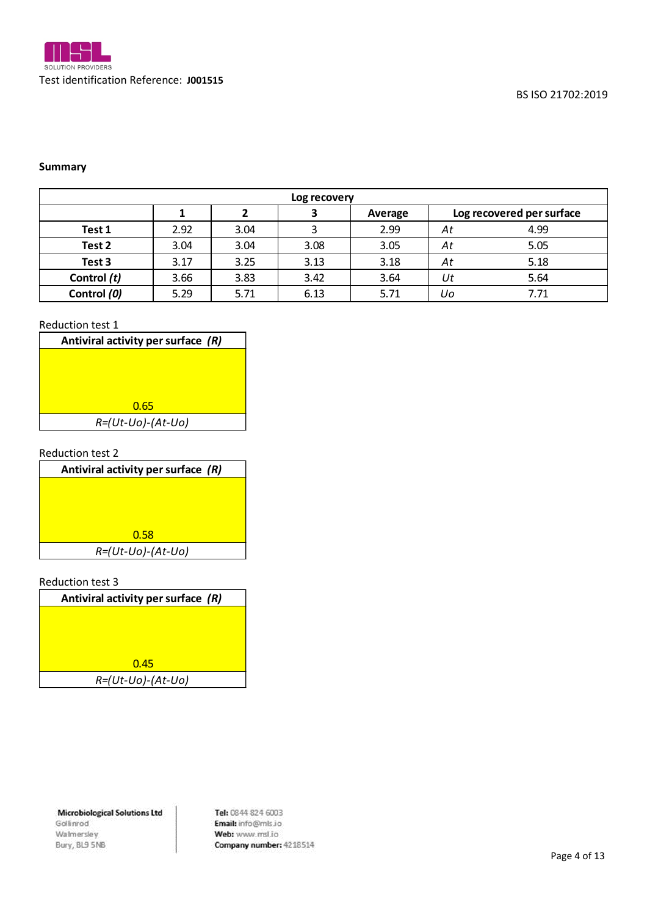

# **Summary**

| Log recovery |      |      |      |         |    |                           |  |  |
|--------------|------|------|------|---------|----|---------------------------|--|--|
|              |      |      | 3    | Average |    | Log recovered per surface |  |  |
| Test 1       | 2.92 | 3.04 | 3    | 2.99    | At | 4.99                      |  |  |
| Test 2       | 3.04 | 3.04 | 3.08 | 3.05    | At | 5.05                      |  |  |
| Test 3       | 3.17 | 3.25 | 3.13 | 3.18    | At | 5.18                      |  |  |
| Control (t)  | 3.66 | 3.83 | 3.42 | 3.64    | Ut | 5.64                      |  |  |
| Control (0)  | 5.29 | 5.71 | 6.13 | 5.71    | Uo | 7.71                      |  |  |

## Reduction test 1

| Antiviral activity per surface (R) |
|------------------------------------|
|                                    |
|                                    |
|                                    |
| 0.65                               |
| R=(Ut-Uo)-(At-Uo)                  |

## Reduction test 2

| Antiviral activity per surface (R) |
|------------------------------------|
|                                    |
|                                    |
|                                    |
| 0.58                               |
| $R=(Ut-Uo)-(At-Uo)$                |

## Reduction test 3

| Antiviral activity per surface (R) |
|------------------------------------|
|                                    |
|                                    |
|                                    |
| 0.45                               |
| R=(Ut-Uo)-(At-Uo)                  |

**Microbiological Solutions Ltd** 

Gollinrod Walmersley Bury, BL9 5NB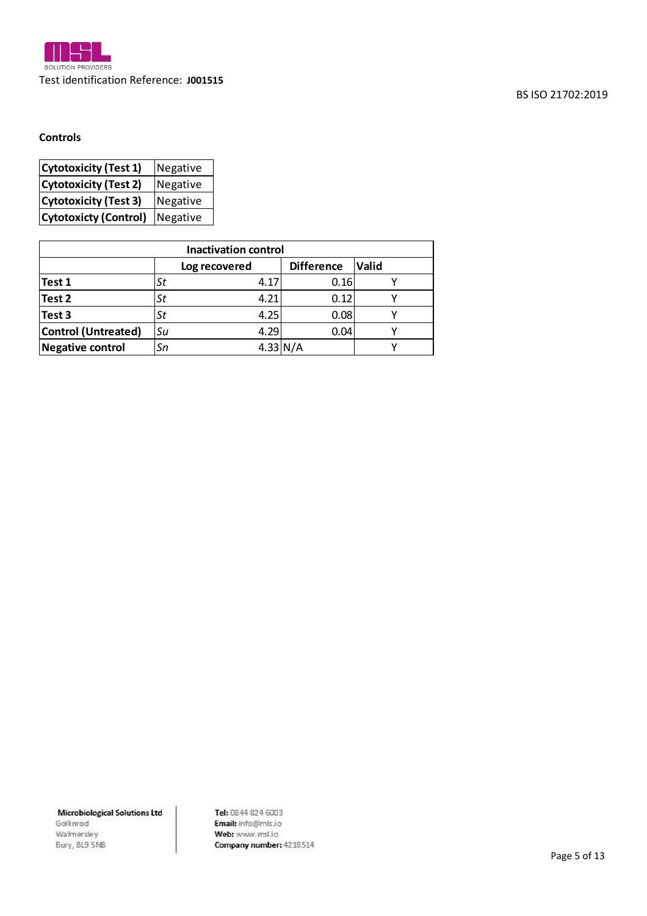

| <b>Cytotoxicity (Test 1)</b> | Negative |
|------------------------------|----------|
| <b>Cytotoxicity (Test 2)</b> | Negative |
| <b>Cytotoxicity (Test 3)</b> | Negative |
| <b>Cytotoxicty (Control)</b> | Negative |

| <b>Inactivation control</b> |    |                 |                   |       |  |  |  |
|-----------------------------|----|-----------------|-------------------|-------|--|--|--|
|                             |    | Log recovered   | <b>Difference</b> | Valid |  |  |  |
| Test 1                      | St | 4.17            | 0.16              |       |  |  |  |
| Test 2                      | St | 4.21            | 0.12              |       |  |  |  |
| Test 3                      | St | 4.25            | 0.08              |       |  |  |  |
| <b>Control (Untreated)</b>  | Su | 4.29            | 0.04              |       |  |  |  |
| <b>Negative control</b>     | Sn | $4.33 \mid N/A$ |                   |       |  |  |  |

**Microbiological Solutions Ltd** 

Gollinrod Walmersley Bury, BL9 5NB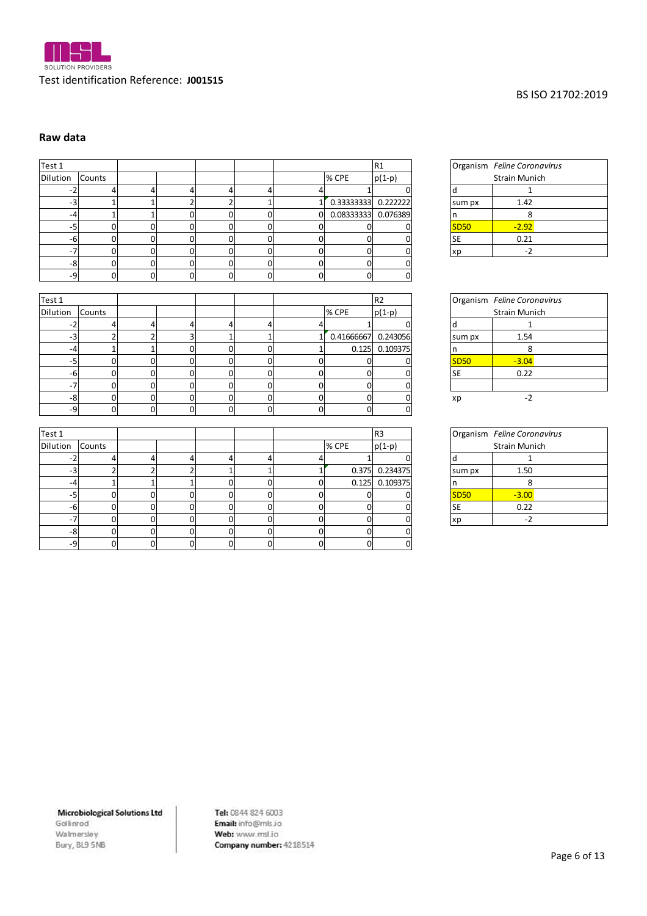

| Raw data |          |    |    |    |          |                     |          |             |                             |
|----------|----------|----|----|----|----------|---------------------|----------|-------------|-----------------------------|
| Test 1   |          |    |    |    |          |                     | R1       |             | Organism Feline Coronavirus |
| Dilution | Counts   |    |    |    |          | % CPE               | $p(1-p)$ |             | Strain Munich               |
| $-2$     |          |    |    |    |          |                     |          |             |                             |
| -3       |          |    |    |    |          | 0.33333333 0.222222 |          | sum px      | 1.42                        |
| -4       |          |    |    |    | $\Omega$ | 0.08333333 0.076389 |          | n           | 8                           |
| $-5$     | ΩI       | 0  | n  | ΩI |          |                     |          | <b>SD50</b> | $-2.92$                     |
| -6       | n        | 0  | ΩI | O. |          |                     |          | <b>SE</b>   | 0.21                        |
| $-7$     |          |    | וח | n. | n        |                     |          | xp          | $-2$                        |
| -8       | n        | O. | ΩI | O. |          |                     |          |             |                             |
| $-9$     | $\Omega$ | 0  | ΩI | 01 | $\Omega$ | 0                   | 0        |             |                             |
| Test 1   |          |    |    |    |          |                     | l R 2    |             | Organism Feline Coronavirus |

|             | Organism Feline Coronavirus |
|-------------|-----------------------------|
|             | <b>Strain Munich</b>        |
| d           |                             |
| sum px      | 1.42                        |
| n           |                             |
| <b>SD50</b> | $-2.92$                     |
| <b>SE</b>   | 0.21                        |
| xp          | - 2                         |

| Test 1   |        |   |  |       |                       | R <sub>2</sub>   | Organism Feline Coronavirus |                      |         |
|----------|--------|---|--|-------|-----------------------|------------------|-----------------------------|----------------------|---------|
| Dilution | Counts |   |  | % CPE |                       | $p(1-p)$         |                             | <b>Strain Munich</b> |         |
|          |        | 4 |  |       |                       |                  |                             |                      |         |
|          |        |   |  |       | $0.41666667$ 0.243056 |                  |                             | sum px               | 1.54    |
|          |        |   |  |       |                       | $0.125$ 0.109375 |                             |                      |         |
|          |        |   |  |       |                       |                  |                             | <b>SD50</b>          | $-3.04$ |
|          |        |   |  |       |                       |                  |                             | <b>SE</b>            | 0.22    |
|          |        |   |  |       |                       |                  |                             |                      |         |
| -81      |        | 0 |  |       |                       |                  |                             | xp                   |         |
|          |        |   |  |       |                       |                  |                             |                      |         |

|                      | Organism Feline Coronavirus |  |  |  |  |  |  |
|----------------------|-----------------------------|--|--|--|--|--|--|
| <b>Strain Munich</b> |                             |  |  |  |  |  |  |
| d                    |                             |  |  |  |  |  |  |
| sum px               | 1.50                        |  |  |  |  |  |  |
| n                    | 8                           |  |  |  |  |  |  |
| <b>SD50</b>          | $-3.00$                     |  |  |  |  |  |  |
| <b>SE</b>            | 0.22                        |  |  |  |  |  |  |
|                      | - 2                         |  |  |  |  |  |  |

| -81       | OI       | υı       | υı       | UI       | OI           | Û  | U          | OI             |             |                         |
|-----------|----------|----------|----------|----------|--------------|----|------------|----------------|-------------|-------------------------|
| $-9$      | 0        | 0        | 0        | $\Omega$ | $\Omega$     | 0  | 0          | $\mathbf{0}$   |             |                         |
|           |          |          |          |          |              |    |            |                |             |                         |
| Test 1    |          |          |          |          |              |    |            | R <sub>2</sub> |             | Organism Feline Coronav |
| Dilution  | Counts   |          |          |          |              |    | % CPE      | $p(1-p)$       |             | Strain Munich           |
| $-2$      |          | 4        |          | 4        |              |    |            |                |             |                         |
| $-3$      |          | ◠        |          |          |              |    | 0.41666667 | 0.243056       | sum px      | 1.54                    |
| -4        |          |          |          | ი        |              |    | 0.125      | 0.109375       |             | 8                       |
| $-5$      | $\Omega$ | 0        | $\Omega$ | 0        | <sup>n</sup> |    |            | n              | <b>SD50</b> | $-3.04$                 |
| -6        | ŋ        | 0        | 0        | 0        |              |    |            |                | <b>SE</b>   | 0.22                    |
| $-7$      | 0        | 0        | 0.       | 0        |              |    |            | ი              |             |                         |
| $-8$      | Ω.       | 0        |          | O        |              |    |            |                | xp          | $-2$                    |
| $-9$      | 0        | $\Omega$ | 01       | 01       | $\Omega$     | ΩI | 0          | 0              |             |                         |
|           |          |          |          |          |              |    |            |                |             |                         |
| $T$ oct 1 |          |          |          |          |              |    |            | <b>R</b>       |             | Organism Feline Coronau |

| -8       | 0        | ΟI             | ΟI       | $\Omega$     | ΩI       | ΟI       | O     | O              | xp          | -2                          |
|----------|----------|----------------|----------|--------------|----------|----------|-------|----------------|-------------|-----------------------------|
| $-9$     | 0        | $\overline{0}$ | 0        | 0            | $\Omega$ | $\Omega$ | 0     | 0              |             |                             |
|          |          |                |          |              |          |          |       |                |             |                             |
| Test 1   |          |                |          |              |          |          |       | R <sub>3</sub> |             | Organism Feline Coronavirus |
| Dilution | Counts   |                |          |              |          |          | % CPE | $p(1-p)$       |             | <b>Strain Munich</b>        |
| $-2$     | 4        | 4              |          |              |          |          |       |                |             |                             |
| $-3$     | h        |                |          |              |          |          | 0.375 | 0.234375       | sum px      | 1.50                        |
| $-4$     |          |                |          |              |          |          | 0.125 | 0.109375       |             | 8                           |
| -5       | $\Omega$ | 0              |          |              | U        | 0        |       | n              | <b>SD50</b> | $-3.00$                     |
| -6       | $\Omega$ | 0              |          |              | U        | 0        |       | ი              | <b>SE</b>   | 0.22                        |
| $-7$     | 0        | 0              |          |              | O.       | 0        |       | ი              | xp          | $-2$                        |
| -8       | $\Omega$ | 0              |          |              |          | n        |       |                |             |                             |
| $-9$     | $\Omega$ | $\overline{0}$ | $\Omega$ | <sup>0</sup> | $\Omega$ | $\Omega$ |       | $\mathbf 0$    |             |                             |
|          |          |                |          |              |          |          |       |                |             |                             |
|          |          |                |          |              |          |          |       |                |             |                             |

#### **Microbiological Solutions Ltd**

Gollinrod Walmersley Bury, BL9 5NB Tel: 0844 824 6003 Email: info@mls.io Web: www.msl.io Company number: 4218514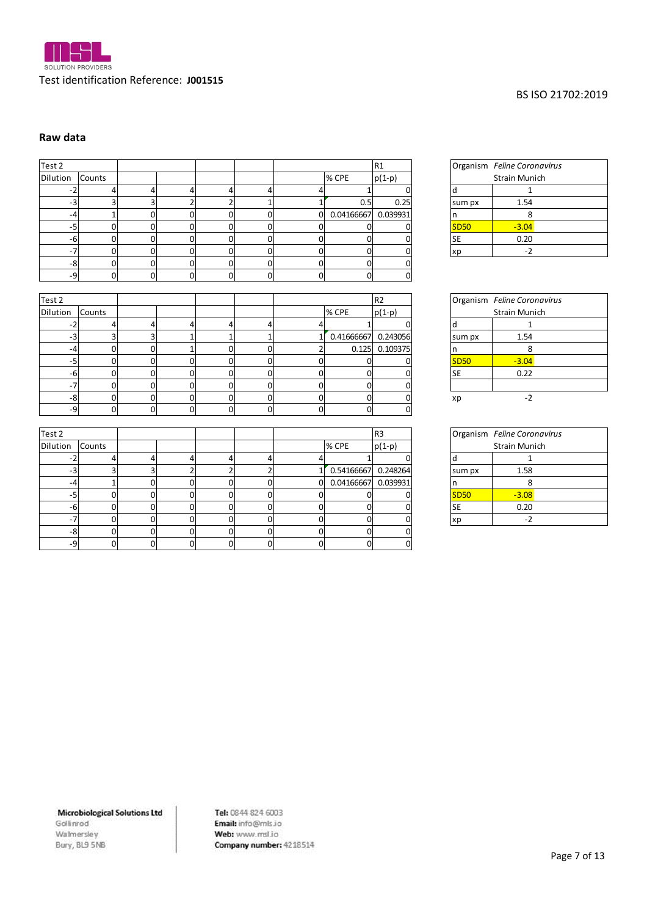

| Raw data |        |                |   |          |    |              |            |                |             |                             |
|----------|--------|----------------|---|----------|----|--------------|------------|----------------|-------------|-----------------------------|
| Test 2   |        |                |   |          |    |              |            | R1             | Organism    | <b>Feline Coronavirus</b>   |
| Dilution | Counts |                |   |          |    |              | % CPE      | $p(1-p)$       |             | <b>Strain Munich</b>        |
|          |        | 4              |   |          | 4  |              |            |                | d           |                             |
| $-3$     |        | 3.             |   |          |    |              | 0.5        | 0.25           | sum px      | 1.54                        |
| -4       |        | 0              |   |          | n  | $\Omega$     | 0.04166667 | 0.039931       |             | 8                           |
| -5       | C      | 0              |   |          | 0  |              | 0          |                | <b>SD50</b> | $-3.04$                     |
| -6       | 0      | 0              |   |          | 0  | 0            | 0          |                | <b>SE</b>   | 0.20                        |
| $-7$     |        | $\Omega$       |   |          | 0  | $\Omega$     | 0          |                | xp          | $-2$                        |
| -8       | 0      | $\Omega$       |   | o        | 0  | $\Omega$     | 0          |                |             |                             |
| -9       | 0      | $\overline{0}$ | 0 | $\Omega$ | 0  | $\mathbf{0}$ | 0          | 0              |             |                             |
|          |        |                |   |          |    |              |            |                |             |                             |
| Test 2   |        |                |   |          |    |              |            | R <sub>2</sub> |             | Organism Feline Coronavirus |
| Dilution | Counts |                |   |          |    |              | % CPE      | $p(1-p)$       |             | <b>Strain Munich</b>        |
|          | 4      |                |   |          | 4  |              |            |                | d           |                             |
| -3       |        |                |   |          |    |              | 0.41666667 | 0.243056       | sum px      | 1.54                        |
| -41      | n      | $\cap$         |   | ΩI       | ΩI |              |            | 0.125 0.109375 | n           | ହ                           |

|             | Organism Feline Coronavirus |
|-------------|-----------------------------|
|             | <b>Strain Munich</b>        |
| d           |                             |
| sum px      | 1.54                        |
| n           |                             |
| <b>SD50</b> | $-3.04$                     |
| <b>SE</b>   | 0.20                        |
| xp          | - 2                         |

| -91      | O.     | U.             | ÛI | UI | O | οı | O.         | 0                |             |                             |  |
|----------|--------|----------------|----|----|---|----|------------|------------------|-------------|-----------------------------|--|
|          |        |                |    |    |   |    |            |                  |             |                             |  |
| Test 2   |        |                |    |    |   |    |            | R <sub>2</sub>   |             | Organism Feline Coronavirus |  |
| Dilution | Counts |                |    |    |   |    | % CPE      | $p(1-p)$         |             | Strain Munich               |  |
|          |        | 4              |    |    |   |    |            |                  |             |                             |  |
| -31      |        | $\mathbf{3}$   |    |    |   |    | 0.41666667 | 0.243056         | sum px      | 1.54                        |  |
|          |        | $\Omega$       |    |    |   |    |            | $0.125$ 0.109375 |             | 8                           |  |
| -51      |        | $\overline{0}$ |    |    |   |    |            |                  | <b>SD50</b> | $-3.04$                     |  |
| -6       |        | $\overline{0}$ |    |    |   |    |            |                  | <b>SE</b>   | 0.22                        |  |
| $-7$     |        | $\overline{0}$ |    |    |   |    |            |                  |             |                             |  |
| -81      |        | $\overline{0}$ |    |    |   |    |            |                  | xp          | $-2$                        |  |
| -91      |        | $\overline{0}$ |    |    | n |    |            | ∩                |             |                             |  |
|          |        |                |    |    |   |    |            |                  |             |                             |  |

|             | Organism Feline Coronavirus |  |
|-------------|-----------------------------|--|
|             | <b>Strain Munich</b>        |  |
| d           |                             |  |
| sum px      | 1.58                        |  |
| n           | 8                           |  |
| <b>SD50</b> | $-3.08$                     |  |
| <b>SE</b>   | 0.20                        |  |
|             | - 2                         |  |

| -41      | 0              | 0. |          | <sub>0</sub>   | <sup>O</sup>   |                |            | $0.125$ 0.109375 | n           | 8                           |
|----------|----------------|----|----------|----------------|----------------|----------------|------------|------------------|-------------|-----------------------------|
| $-5$     | 0              | 0  | $\Omega$ | 0              | $\Omega$       | $\Omega$       |            |                  | <b>SD50</b> | $-3.04$                     |
| -6       | 0              | 0  | 0        | 0              | $\overline{0}$ | 0              | 0          | 0                | <b>SE</b>   | 0.22                        |
| $-7$     | 0              | 0  | $\Omega$ | 0              | $\Omega$       | 0              | 0          |                  |             |                             |
| -8       | $\overline{0}$ | 0  | $\Omega$ | 0              | <sub>0</sub>   | $\overline{0}$ | 0          | ი                | xp          | $-2$                        |
| -9       | 0              | 0  | $\Omega$ | $\overline{0}$ | $\mathbf{0}$   | <sub>0</sub>   | 0          | 0                |             |                             |
|          |                |    |          |                |                |                |            |                  |             |                             |
| Test 2   |                |    |          |                |                |                |            | R <sub>3</sub>   |             | Organism Feline Coronavirus |
| Dilution | Counts         |    |          |                |                |                | % CPE      | $p(1-p)$         |             | <b>Strain Munich</b>        |
| $-2$     | 4              | 4  |          |                |                | 4              |            |                  | d           |                             |
| -3       | 3              | 3  |          |                |                |                | 0.54166667 | 0.248264         | sum px      | 1.58                        |
| -4       | 1              | 0  | $\Omega$ | O              | $\Omega$       | 0              | 0.04166667 | 0.039931         | n           | 8                           |
| $-5$     | 0              | 0  | $\Omega$ | O              | $\Omega$       | 0              |            |                  | <b>SD50</b> | $-3.08$                     |
| -6       | 0              | 0  | $\Omega$ | O              | $\Omega$       | 0              |            |                  | <b>SE</b>   | 0.20                        |
| $-7$     | 0              | 0  | $\Omega$ | 0              | <sub>0</sub>   | 0              | 0          | n                | xp          | $-2$                        |
| -8       | 0              | 0  | $\Omega$ | 0              | $\Omega$       | $\overline{0}$ | 0          | 0                |             |                             |
| -9       | 0              | 0  | $\Omega$ | $\Omega$       | $\Omega$       | 0l             | 0          | $\Omega$         |             |                             |
|          |                |    |          |                |                |                |            |                  |             |                             |
|          |                |    |          |                |                |                |            |                  |             |                             |

**Microbiological Solutions Ltd** 

Gollinrod Walmersley Bury, BL9 5NB Tel: 0844 824 6003 Email: info@mls.io Web: www.msl.io Company number: 4218514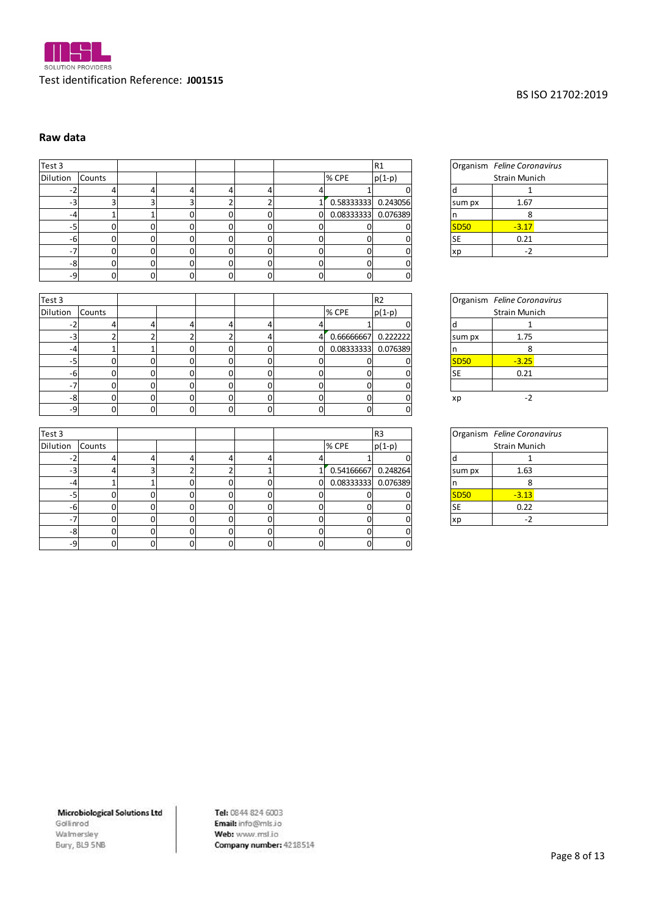

| Raw data       |          |          |    |        |    |              |                        |                |             |                             |
|----------------|----------|----------|----|--------|----|--------------|------------------------|----------------|-------------|-----------------------------|
| Test 3         |          |          |    |        |    |              |                        | R1             | Organism    | <b>Feline Coronavirus</b>   |
| Dilution       | Counts   |          |    |        |    |              | % CPE                  | $p(1-p)$       |             | Strain Munich               |
|                |          | 4        | 4  | 4      | Δ  |              |                        |                | d           |                             |
| -3             |          |          |    |        |    |              | 0.58333333 0.243056    |                | sum px      | 1.67                        |
| -4             |          |          |    | O.     |    |              | 0.08333333 0.076389    |                | n           | 8                           |
| -5             | $\Omega$ | 0        | N  | 0      |    |              |                        |                | <b>SD50</b> | $-3.17$                     |
| -6             | 0        | 0        | n  | 0      |    | 0            | 0                      |                | <b>SE</b>   | 0.21                        |
| -7             | 0        | 0        | n  | 0      |    | 0            | 0                      |                | хp          | $-2$                        |
| -8             | $\Omega$ | 0        | 01 | 0      |    | $\mathbf{0}$ | 0                      |                |             |                             |
| -9             | $\Omega$ | $\Omega$ | 01 | 0      | 0  | $\Omega$     | 0                      | 0              |             |                             |
|                |          |          |    |        |    |              |                        |                |             |                             |
| Test 3         |          |          |    |        |    |              |                        | R <sub>2</sub> |             | Organism Feline Coronavirus |
| Dilution       | Counts   |          |    |        |    |              | % CPE                  | $p(1-p)$       |             | <b>Strain Munich</b>        |
|                |          |          |    | 4      | Δ  |              |                        |                | d           |                             |
| -3             |          |          |    |        |    | 4            | 0.66666667             | 0.222222       | sum px      | 1.75                        |
| $\overline{a}$ |          |          | ΩI | $\cap$ | ΩI |              | UL U U8333333 U UJE380 |                | n           | ହ                           |

|             | Organism Feline Coronavirus |
|-------------|-----------------------------|
|             | <b>Strain Munich</b>        |
| d           |                             |
| sum px      | 1.67                        |
| n           |                             |
| <b>SD50</b> | $-3.17$                     |
| <b>SE</b>   | 0.21                        |
| xp          | - 2                         |

| -91      | O.     | U.             | ÛI | UI | O | ΟI | O.                    | 0              |             |                             |  |
|----------|--------|----------------|----|----|---|----|-----------------------|----------------|-------------|-----------------------------|--|
|          |        |                |    |    |   |    |                       |                |             |                             |  |
| Test 3   |        |                |    |    |   |    |                       | R <sub>2</sub> |             | Organism Feline Coronavirus |  |
| Dilution | Counts |                |    |    |   |    | % CPE                 | $p(1-p)$       |             | Strain Munich               |  |
|          |        | 4              |    |    |   |    |                       |                |             |                             |  |
| $-31$    |        | ∼              |    |    |   |    | 0.66666667            | 0.222222       | sum px      | 1.75                        |  |
|          |        |                |    |    |   |    | 0 0.08333333 0.076389 |                |             | ◠                           |  |
| -51      |        | $\Omega$       |    |    |   |    |                       |                | <b>SD50</b> | $-3.25$                     |  |
| -6       |        | $\overline{0}$ |    |    |   |    |                       |                | <b>SE</b>   | 0.21                        |  |
| $-7$     |        | $\overline{0}$ |    |    |   |    |                       |                |             |                             |  |
| -81      |        | $\overline{0}$ |    |    |   |    |                       |                | xp          | $-2$                        |  |
| -91      |        | $\overline{0}$ |    |    |   |    |                       |                |             |                             |  |
|          |        |                |    |    |   |    |                       |                |             |                             |  |

|             | Organism Feline Coronavirus |  |
|-------------|-----------------------------|--|
|             | <b>Strain Munich</b>        |  |
| d           |                             |  |
| sum px      | 1.63                        |  |
| n           | 8                           |  |
| <b>SD50</b> | $-3.13$                     |  |
| <b>SE</b>   | 0.22                        |  |
|             | - 2                         |  |

| -41      |                |                | οı       | 0            | 0            | 0.             | 0.08333333 0.076389 |                | n           | 8                           |
|----------|----------------|----------------|----------|--------------|--------------|----------------|---------------------|----------------|-------------|-----------------------------|
| $-5$     | $\mathbf{0}$   | $\Omega$       | $\Omega$ | $\Omega$     | O            | $\Omega$       | 0                   | 0              | <b>SD50</b> | $-3.25$                     |
| $-6$     | $\mathbf{0}$   | $\Omega$       | 0        | 0            | 0            | 0              | 0                   | $\Omega$       | <b>SE</b>   | 0.21                        |
| $-7$     | $\mathbf{0}$   | $\Omega$       | $\Omega$ | $\Omega$     | O            | <sub>0</sub>   | 0                   | 0              |             |                             |
| -8       | $\mathbf{0}$   | $\mathbf{0}$   | 0        | 0            | 0            | 0              | 0                   | $\Omega$       | xp          | $-2$                        |
| $-9$     | $\Omega$       | $\overline{0}$ | 0        | $\Omega$     | $\mathbf{0}$ | $\overline{0}$ | 0                   | 0              |             |                             |
|          |                |                |          |              |              |                |                     |                |             |                             |
| Test 3   |                |                |          |              |              |                |                     | R <sub>3</sub> |             | Organism Feline Coronavirus |
| Dilution | Counts         |                |          |              |              |                | % CPE               | $p(1-p)$       |             | <b>Strain Munich</b>        |
| $-2$     | 4              | Δ              |          |              |              |                |                     | 0              | d           |                             |
| $-3$     | 4              | з              |          |              |              |                | 0.54166667          | 0.248264       | sum px      | 1.63                        |
| -4       |                |                | 0        | $\Omega$     |              | $\Omega$       | 0.08333333          | 0.076389       | n           | 8                           |
| $-5$     | $\mathbf 0$    | $\Omega$       | 0        | $\Omega$     |              | 0              | 0                   | 0              | <b>SD50</b> | $-3.13$                     |
| $-6$     | $\Omega$       | $\Omega$       | n.       | $\Omega$     | O            | $\Omega$       | $\Omega$            | $\Omega$       | <b>SE</b>   | 0.22                        |
| $-7$     | $\mathbf{0}$   | $\mathbf{0}$   | 0        | 0            | O            | 0              | 0                   | $\mathbf{0}$   | xp          | $-2$                        |
| -8       | $\mathbf 0$    | $\Omega$       | $\Omega$ | $\mathbf{0}$ | O            | 0              | 0                   | 0              |             |                             |
| $-9$     | $\overline{0}$ | $\Omega$       | $\Omega$ | $\Omega$     | $\Omega$     | $\overline{0}$ | $\overline{0}$      | $\Omega$       |             |                             |
|          |                |                |          |              |              |                |                     |                |             |                             |
|          |                |                |          |              |              |                |                     |                |             |                             |

**Microbiological Solutions Ltd** 

Gollinrod Walmersley Bury, BL9 5NB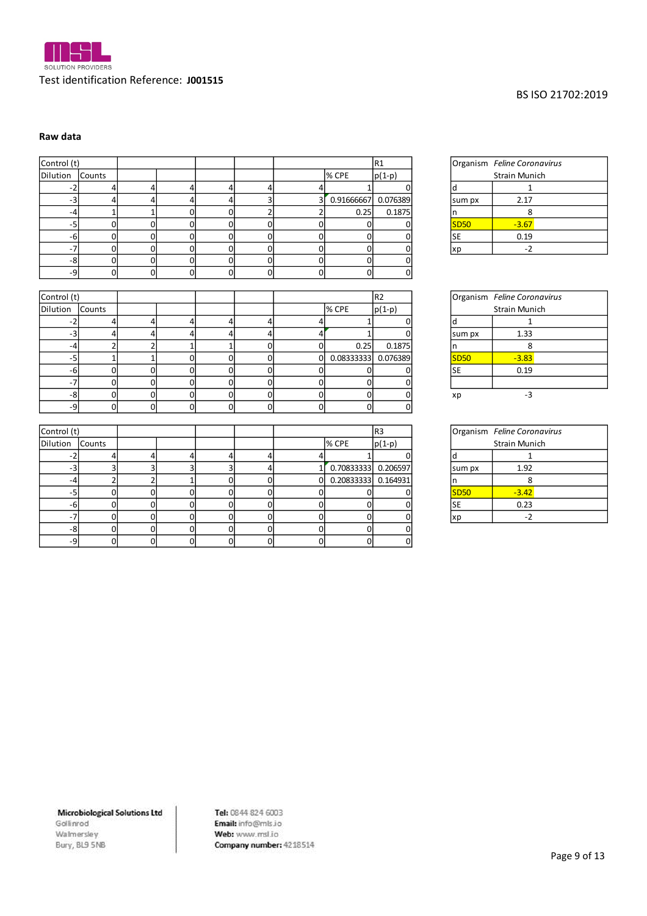

| Raw data        |                |                 |                |                |                |                |                     |                |             |                             |
|-----------------|----------------|-----------------|----------------|----------------|----------------|----------------|---------------------|----------------|-------------|-----------------------------|
| Control (t)     |                |                 |                |                |                |                |                     | R1             |             | Organism Feline Coronavirus |
| <b>Dilution</b> | Counts         |                 |                |                |                |                | % CPE               | $p(1-p)$       |             | <b>Strain Munich</b>        |
| $-2$            | 4              | $\overline{4}$  | $\overline{4}$ | 4              | 4              | $\overline{4}$ | $\mathbf{1}$        | $\Omega$       | d           | 1                           |
| $-3$            | 4              | 4               | 4              | 4              | 3              | $\overline{3}$ | 0.91666667          | 0.076389       | sum px      | 2.17                        |
| $-4$            | $\mathbf{1}$   | $\mathbf{1}$    | 0              | 0              | $\overline{2}$ | $\overline{2}$ | 0.25                | 0.1875         | n           | 8                           |
| $-5$            | 0              | $\mathbf 0$     | 0              | 0              | $\mathbf 0$    | $\overline{0}$ | 0                   | $\Omega$       | <b>SD50</b> | $-3.67$                     |
| $-6$            | $\Omega$       | $\mathbf 0$     | $\Omega$       | $\Omega$       | $\Omega$       | $\overline{0}$ | $\Omega$            | 0              | <b>SE</b>   | 0.19                        |
| $-7$            | 0              | $\mathbf 0$     | $\overline{0}$ | 0              | $\mathbf 0$    | $\Omega$       | $\mathbf 0$         | $\Omega$       | xp          | $-2$                        |
| -8              | 0              | $\mathbf 0$     | 0              | 0              | 0              | $\overline{0}$ | 0                   | 0              |             |                             |
| -9              | $\Omega$       | $\mathbf 0$     | $\overline{0}$ | $\Omega$       | $\Omega$       | $\Omega$       | $\Omega$            | $\Omega$       |             |                             |
|                 |                |                 |                |                |                |                |                     |                |             |                             |
| Control (t)     |                |                 |                |                |                |                |                     | R <sub>2</sub> |             | Organism Feline Coronavirus |
| Dilution        | Counts         |                 |                |                |                |                | % CPE               | $p(1-p)$       |             | <b>Strain Munich</b>        |
| $-2$            | 4              | 4               | 4              | 4              | 4              | 4              | 1                   | 0              | d           | 1                           |
| $-3$            | 4              | 4               | 4              | 4              | 4              | 4              | $\mathbf{1}$        | O              | sum px      | 1.33                        |
| $-4$            | $\overline{2}$ | $\overline{2}$  | $\mathbf{1}$   | 1              | 0              | $\overline{0}$ | 0.25                | 0.1875         | n.          | 8                           |
| $-5$            | $\mathbf{1}$   | $1\overline{ }$ | $\overline{0}$ | $\Omega$       | $\Omega$       | $\Omega$       | 0.08333333          | 0.076389       | <b>SD50</b> | $-3.83$                     |
| $-6$            | $\Omega$       | $\mathbf 0$     | 0              | 0              | $\mathbf 0$    | $\overline{0}$ | 0                   | $\Omega$       | <b>SE</b>   | 0.19                        |
| $-7$            | $\Omega$       | $\mathbf 0$     | $\overline{0}$ | 0              | $\mathbf 0$    | $\Omega$       | 0                   | $\Omega$       |             |                             |
| $-8$            | 0              | $\Omega$        | 0              | 0              | $\mathbf 0$    | $\overline{0}$ | 0                   | $\Omega$       | xp          | $-3$                        |
| -9              | $\Omega$       | $\mathbf 0$     | $\overline{0}$ | 0              | $\Omega$       | $\Omega$       | $\mathbf 0$         | $\Omega$       |             |                             |
|                 |                |                 |                |                |                |                |                     |                |             |                             |
| Control (t)     |                |                 |                |                |                |                |                     | R <sub>3</sub> |             | Organism Feline Coronavirus |
| <b>Dilution</b> | Counts         |                 |                |                |                |                | % CPE               | $p(1-p)$       |             | <b>Strain Munich</b>        |
| $-2$            | 4              | 4               | 4              | 4              | 4              | $\overline{4}$ | $\mathbf{1}$        | $\Omega$       | d           | $\mathbf{1}$                |
| $-3$            | 3              | 3               | 3              | 3              | 4              | 1              | 0.70833333 0.206597 |                | sum px      | 1.92                        |
| $-4$            | $\overline{2}$ | $\overline{2}$  | 1              | 0              | 0              | $\Omega$       | 0.20833333          | 0.164931       | n           | 8                           |
| $-5$            | $\Omega$       | $\mathbf 0$     | $\Omega$       | 0              | 0              | $\Omega$       | 0                   | O              | <b>SD50</b> | $-3.42$                     |
| -6              | 0              | 0               | 0              | 0              | 0              | $\overline{0}$ | 0                   | 0              | <b>SE</b>   | 0.23                        |
| $-7$            | 0              | $\mathbf 0$     | 0              | 0              | 0              | $\overline{0}$ | 0                   | 0              | xp          | $-2$                        |
| -8              | 0              | $\mathbf 0$     | 0              | 0              | $\mathbf 0$    | $\overline{0}$ | 0                   | 0              |             |                             |
| -9              | $\Omega$       | $\overline{0}$  | $\overline{0}$ | $\overline{0}$ | $\Omega$       | $\Omega$       | $\overline{0}$      | $\Omega$       |             |                             |
|                 |                |                 |                |                |                |                |                     |                |             |                             |

|             | Organism Feline Coronavirus |
|-------------|-----------------------------|
|             | <b>Strain Munich</b>        |
| d           |                             |
| sum px      | 2.17                        |
| n           |                             |
| <b>SD50</b> | $-3.67$                     |
| <b>SE</b>   | 0.19                        |
|             |                             |

|             | Organism Feline Coronavirus |
|-------------|-----------------------------|
|             | <b>Strain Munich</b>        |
| d           |                             |
| sum px      | 1.33                        |
| n           | 8                           |
| <b>SD50</b> | $-3.83$                     |
| <b>SE</b>   | 0.19                        |
|             |                             |
| хp          | -3                          |

|             | Organism Feline Coronavirus |  |  |  |  |  |  |
|-------------|-----------------------------|--|--|--|--|--|--|
|             | <b>Strain Munich</b>        |  |  |  |  |  |  |
| d           |                             |  |  |  |  |  |  |
| sum px      | 1.92                        |  |  |  |  |  |  |
| n           | 8                           |  |  |  |  |  |  |
| <b>SD50</b> | $-3.42$                     |  |  |  |  |  |  |
| <b>SE</b>   | 0.23                        |  |  |  |  |  |  |
| xb          | -2                          |  |  |  |  |  |  |

#### **Microbiological Solutions Ltd**

Gollinrod Walmersley Bury, BL9 5NB Tel: 0844 824 6003 Email: info@mls.io Web: www.msl.io Company number: 4218514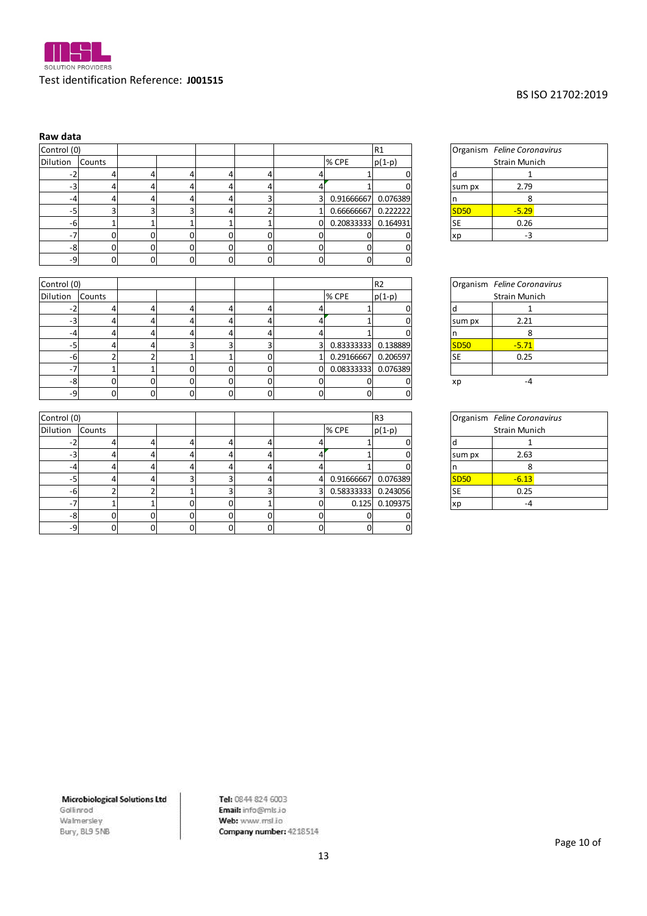| Raw data    |               |              |    |    |   |          |            |          |             |                             |
|-------------|---------------|--------------|----|----|---|----------|------------|----------|-------------|-----------------------------|
| Control (0) |               |              |    |    |   |          |            | R1       |             | Organism Feline Coronavirus |
| Dilution    | <b>Counts</b> |              |    |    |   |          | % CPE      | $p(1-p)$ |             | Strain Munich               |
| $-2$        |               | 4            | 4  | 4  | 4 |          |            |          |             |                             |
| $-3$        |               | 4            | 4  | 4  | 4 |          |            | 0        | sum px      | 2.79                        |
| -4          |               | 4            | 4  |    | з |          | 0.91666667 | 0.076389 |             | 8                           |
| -5          |               | 3            | 3  | 4  |   |          | 0.66666667 | 0.222222 | <b>SD50</b> | $-5.29$                     |
| -61         |               |              |    |    |   | $\Omega$ | 0.20833333 | 0.164931 | <b>SE</b>   | 0.26                        |
| $-7$        |               | O            | ΩI | n  | n |          |            |          | хp          | $-3$                        |
| -8          |               | 0            | 0l | 0  | O |          |            | 0        |             |                             |
| $-9$        | ი             | $\mathbf{0}$ | 01 | 0l | 0 | $\Omega$ | 0          | $\Omega$ |             |                             |

| -81              | U      | U.             | οı | OI | υı       | οı       | U          | O              |             |                             |
|------------------|--------|----------------|----|----|----------|----------|------------|----------------|-------------|-----------------------------|
| $-9$             | 0      | $\overline{0}$ | 01 | ΩI | $\Omega$ | $\Omega$ | $\Omega$   | 0              |             |                             |
|                  |        |                |    |    |          |          |            |                |             |                             |
| Control (0)      |        |                |    |    |          |          |            | R <sub>2</sub> |             | Organism Feline Coronavirus |
| Dilution         | Counts |                |    |    |          |          | % CPE      | $p(1-p)$       |             | <b>Strain Munich</b>        |
| $-2$             |        | 4              |    |    | 4        |          |            |                |             |                             |
| $-3$             |        | 4              |    |    | 4        |          |            |                | sum px      | 2.21                        |
| -4               |        | 4              |    |    |          |          |            |                |             | 8                           |
| $-5$             |        | 4              |    |    |          |          | 0.83333333 | 0.138889       | <b>SD50</b> | $-5.71$                     |
| $-6$             |        |                |    |    | n.       |          | 0.29166667 | 0.206597       | <b>SE</b>   | 0.25                        |
| $-7$             |        |                |    |    | O.       | ΩI       | 0.08333333 | 0.076389       |             |                             |
| -8               |        | 0              |    |    | ΩI       |          |            |                | xp          | $-4$                        |
| $-9$             | 0      | $\Omega$       | ΩI |    | $\Omega$ | 0        | $\Omega$   | 0              |             |                             |
|                  |        |                |    |    |          |          |            |                |             |                             |
| $C$ ontrol $(0)$ |        |                |    |    |          |          |            | l R 3          |             | Organism Feline Coronavirus |

| -81         | <sub>0</sub> | 0              | ΩI | OI | OI             | ΟI       | O.             | O              | xp          | -4                          |
|-------------|--------------|----------------|----|----|----------------|----------|----------------|----------------|-------------|-----------------------------|
| $-9$        | 0            | $\overline{0}$ | 01 |    | $\overline{0}$ | $\Omega$ | $\Omega$       | 0              |             |                             |
|             |              |                |    |    |                |          |                |                |             |                             |
| Control (0) |              |                |    |    |                |          |                | R <sub>3</sub> |             | Organism Feline Coronavirus |
| Dilution    | Counts       |                |    |    |                |          | % CPE          | $p(1-p)$       |             | Strain Munich               |
| $-2$        |              | 4              |    |    | 4              |          |                |                |             |                             |
| $-3$        |              | 4.             |    |    | 4              |          |                | ŋ              | sum px      | 2.63                        |
| $-4$        |              |                |    |    | 4              |          |                |                |             | 8                           |
| $-5$        |              | 4              |    |    | 4              |          | 0.91666667     | 0.076389       | <b>SD50</b> | $-6.13$                     |
| $-6$        |              |                |    |    | 3              |          | 0.58333333     | 0.243056       | <b>SE</b>   | 0.25                        |
| $-7$        |              |                |    |    |                |          | 0.125          | 0.109375       | xp          | $-4$                        |
| $-8$        | $\Omega$     | 0              |    |    | ΩI             |          |                |                |             |                             |
| -91         | 0            | $\overline{0}$ | ΩI | ΩI | $\Omega$       | 0        | $\overline{0}$ | $\Omega$       |             |                             |
|             |              |                |    |    |                |          |                |                |             |                             |
|             |              |                |    |    |                |          |                |                |             |                             |

|             | Organism Feline Coronavirus |
|-------------|-----------------------------|
|             | <b>Strain Munich</b>        |
| d           |                             |
| sum px      | 2.79                        |
| n           |                             |
| <b>SD50</b> | $-5.29$                     |
| <b>SE</b>   | 0.26                        |
|             |                             |

|             | Organism Feline Coronavirus |  |  |  |  |  |  |  |
|-------------|-----------------------------|--|--|--|--|--|--|--|
|             | <b>Strain Munich</b>        |  |  |  |  |  |  |  |
| d           |                             |  |  |  |  |  |  |  |
| sum px      | 2.21                        |  |  |  |  |  |  |  |
| n           | 8                           |  |  |  |  |  |  |  |
| <b>SD50</b> | $-5.71$                     |  |  |  |  |  |  |  |
| <b>SE</b>   | 0.25                        |  |  |  |  |  |  |  |
|             |                             |  |  |  |  |  |  |  |
| хp          |                             |  |  |  |  |  |  |  |

|             | Organism Feline Coronavirus |  |  |  |  |  |  |
|-------------|-----------------------------|--|--|--|--|--|--|
|             | <b>Strain Munich</b>        |  |  |  |  |  |  |
| d           |                             |  |  |  |  |  |  |
| sum px      | 2.63                        |  |  |  |  |  |  |
| n           |                             |  |  |  |  |  |  |
| <b>SD50</b> | $-6.13$                     |  |  |  |  |  |  |
| <b>SE</b>   | 0.25                        |  |  |  |  |  |  |
|             |                             |  |  |  |  |  |  |

**Microbiological Solutions Ltd** 

Gollinrod Walmersley<br>Bury, BL9 5NB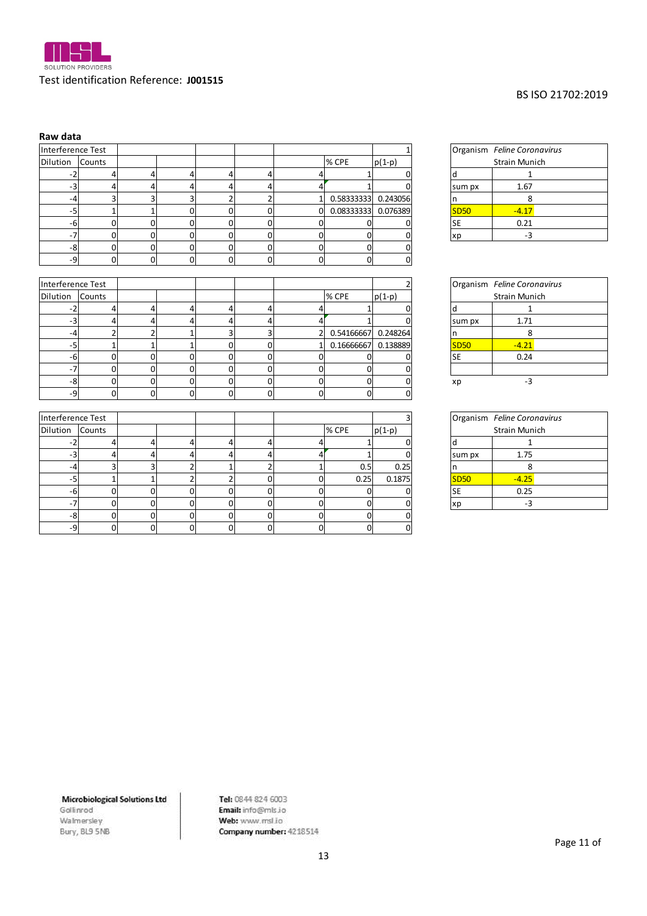| Interference Test |          |   |          |    |          |    |            |          |             | Organism Feline Coronavirus |
|-------------------|----------|---|----------|----|----------|----|------------|----------|-------------|-----------------------------|
| Dilution          | Counts   |   |          |    |          |    | % CPE      | $p(1-p)$ |             | Strain Munich               |
| $-2$              |          | 4 |          |    |          |    |            |          |             |                             |
| -3                | 4        | 4 |          |    | 4        |    |            |          | sum px      | 1.67                        |
| -4                |          | 3 |          |    |          |    | 0.58333333 | 0.243056 |             | 8                           |
| $-5$              |          |   | 0        | Ω. | $\Omega$ | 0  | 0.08333333 | 0.076389 | <b>SD50</b> | $-4.17$                     |
| -6                | $\Omega$ | 0 | ΩI       |    | $\Omega$ |    |            |          | <b>SE</b>   | 0.21                        |
| $-7$              | $\Omega$ | 0 | n.       |    | $\Omega$ | n  |            |          | xp          | $-3$                        |
| -8                | $\Omega$ | 0 | 0        |    | $\Omega$ | ΩI |            |          |             |                             |
| -9                | 0        | 0 | $\Omega$ | 0  | $\Omega$ | 0  |            | 0        |             |                             |

**Interference Test** 3  $Dilution$   $\boxed{\text{Counts}}$   $\boxed{\text{p}(1-p)}$   $\boxed{\text{p}(1-p)}$ 

 $\begin{array}{cccccccc} -3 & 4 & 4 & 4 & 4 & 4 & 4 & 4 & 1 & 0 \\ -4 & 3 & 3 & 3 & 2 & 1 & 2 & 1 & 0.5 & 0.25 \\ -5 & 1 & 1 & 2 & 2 & 0 & 0 & 0.25 & 0.1875 \\ -6 & 0 & 0 & 0 & 0 & 0 & 0 & 0 & 0 & 0 \\ -7 & 0 & 0 & 0 & 0 & 0 & 0 & 0 & 0 & 0 \\ -8 & 0 & 0 & 0 & 0 & 0 & 0 & 0 & 0 & 0 \\ -9 & 0 & 0 & 0 & 0 & 0 & 0 &$  $\begin{array}{cccccccc} -4 & 3 & 3 & 3 & 2 & 1 & 2 & 1 & 0.5 & 0.25 \ -5 & 1 & 1 & 2 & 2 & 0 & 0 & 0.25 & 0.1875 \ \hline -6 & 0 & 0 & 0 & 0 & 0 & 0 & 0 & 0 & 0 \ \hline -7 & 0 & 0 & 0 & 0 & 0 & 0 & 0 & 0 & 0 \ \hline -8 & 0 & 0 & 0 & 0 & 0 & 0 & 0 & 0 & 0 \ \hline -9 & 0 & 0 & 0 & 0 & 0 & 0 & 0 & 0 \ \hline \end{array}$ 

| -8                |                   | <sup>n</sup> | n  | 0        | n. |            | U                       |                             |                             |  |
|-------------------|-------------------|--------------|----|----------|----|------------|-------------------------|-----------------------------|-----------------------------|--|
| -91               | $\Omega$          | $\Omega$     | ΩI | 0        | Οl | 0          | <sup>n</sup>            |                             |                             |  |
|                   |                   |              |    |          |    |            |                         |                             |                             |  |
|                   | Interference Test |              |    |          |    |            |                         | Organism Feline Coronavirus |                             |  |
| Dilution          | Counts            |              |    |          |    | % CPE      | $p(1-p)$                |                             | Strain Munich               |  |
| $-2$              |                   |              |    | 4        |    |            |                         |                             |                             |  |
| -3                |                   |              |    | 4        |    |            |                         | sum px                      | 1.71                        |  |
| $-4$              |                   |              |    | h        |    | 0.54166667 | 0.248264                |                             | 8                           |  |
| $-5$              |                   |              |    | C        |    | 0.16666667 | 0.138889                | <b>SD50</b>                 | $-4.21$                     |  |
| -6                |                   |              |    | 0        |    |            |                         | <b>SE</b>                   | 0.24                        |  |
| $-7'$             |                   |              |    |          |    |            |                         |                             |                             |  |
| -8                |                   |              |    | 0        | nı |            |                         | xp                          | $-3$                        |  |
| $-9$              | $\Omega$          | <sup>n</sup> | N  | $\Omega$ | 01 | ŋ          | $\Omega$                |                             |                             |  |
|                   |                   |              |    |          |    |            |                         |                             |                             |  |
| Interference Test |                   |              |    |          |    |            | $\overline{\mathbf{a}}$ |                             | Organism Feline Coronavirus |  |

|             | Organism Feline Coronavirus |
|-------------|-----------------------------|
|             | <b>Strain Munich</b>        |
| d           |                             |
| sum px      | 1.67                        |
| n           |                             |
| <b>SD50</b> | $-4.17$                     |
| <b>SE</b>   | 0.21                        |
|             |                             |

|             | Organism Feline Coronavirus |
|-------------|-----------------------------|
|             | <b>Strain Munich</b>        |
| d           |                             |
| sum px      | 1.71                        |
| n           | 8                           |
| <b>SD50</b> | $-4.21$                     |
| <b>SE</b>   | 0.24                        |
|             |                             |
| хp          |                             |

| -8  | ΩL        | O. | ΩI       | O.       | ΩI | ΩL    | വ        | -3<br>xp                    |
|-----|-----------|----|----------|----------|----|-------|----------|-----------------------------|
| -91 | ΩI        |    |          | 0        |    | ור    |          |                             |
|     |           |    |          |          |    |       |          |                             |
|     | ence Test |    |          |          |    |       |          | Organism Feline Coronavirus |
|     | Counts    |    |          |          |    | % CPE | $p(1-p)$ | <b>Strain Munich</b>        |
|     |           |    |          |          |    |       |          |                             |
| ∍   |           |    |          |          |    |       |          | 1.75<br>sum px              |
| -4  |           |    |          |          |    | 0.5   | 0.25     | 8                           |
| ٠5  |           |    |          |          |    | 0.25  | 0.1875   | <b>SD50</b><br>$-4.25$      |
| -6  | ΩI        |    | $\Omega$ | 0        |    |       |          | <b>SE</b><br>0.25           |
| -7  | ΩL        |    | $\Omega$ | $\Omega$ |    |       |          | $-3$<br>xp                  |
| -8  | ΩI        |    |          | 0        |    |       |          |                             |
| .al | nΙ        |    | ΩI<br>п. | $\cap$   | ωı | ∩I    | ി        |                             |

| <b>Microbiological Solutions Ltd</b> |  |  |  |
|--------------------------------------|--|--|--|
|--------------------------------------|--|--|--|

Gollinrod Walmersley Bury, BL9 5NB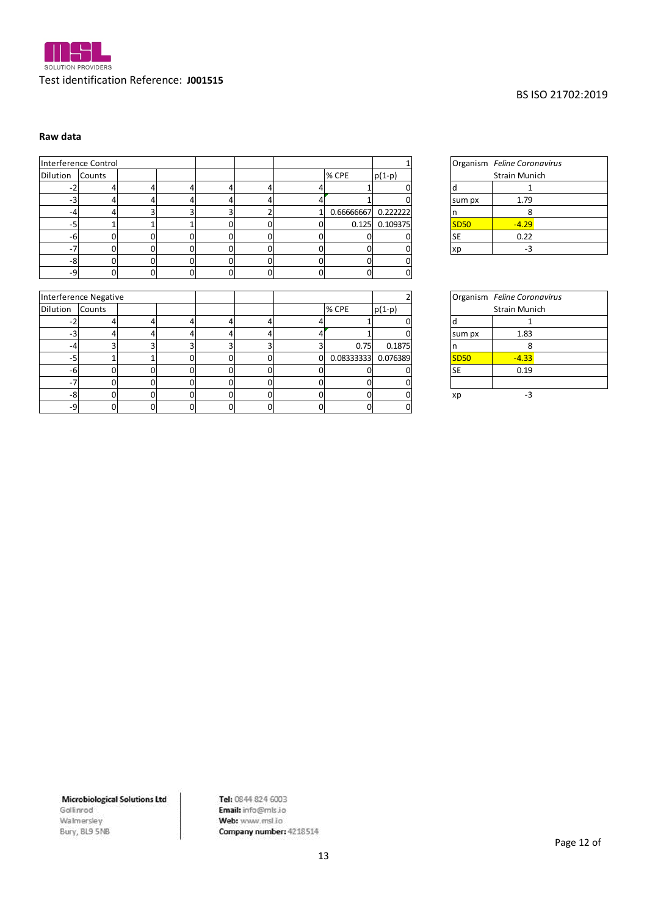

| Raw data |                       |   |   |   |              |          |            |          |             |                             |
|----------|-----------------------|---|---|---|--------------|----------|------------|----------|-------------|-----------------------------|
|          | Interference Control  |   |   |   |              |          |            |          |             | Organism Feline Coronavirus |
| Dilution | Counts                |   |   |   |              |          | % CPE      | $p(1-p)$ |             | <b>Strain Munich</b>        |
| -2       | 4                     |   | 4 | 4 | 4            |          |            |          |             |                             |
| -3       | 4                     | Δ | 4 | Δ | 4            |          |            |          | sum px      | 1.79                        |
| -4       |                       |   |   |   |              |          | 0.66666667 | 0.222222 |             | 8                           |
| -5       |                       |   |   |   | $\Omega$     |          | 0.125      | 0.109375 | <b>SD50</b> | $-4.29$                     |
| -61      | ΩI                    | n |   |   | $\Omega$     |          |            |          | <b>SE</b>   | 0.22                        |
| -7       | ΩI                    |   |   |   | $\Omega$     | $\Omega$ |            |          | xp          | $-3$                        |
| -8       | ΩI                    |   |   |   | $\Omega$     |          |            |          |             |                             |
| -9       | Οl                    | 0 |   | 0 | $\mathbf{0}$ | $\Omega$ | 0          | 0        |             |                             |
|          | Interference Negative |   |   |   |              |          |            | C        |             | Organism Feline Coronavirus |

|             | Organism Feline Coronavirus |
|-------------|-----------------------------|
|             | <b>Strain Munich</b>        |
| d           |                             |
| sum px      | 1.79                        |
| n           |                             |
| <b>SD50</b> | $-4.29$                     |
| <b>SE</b>   | 0.22                        |
| xp          |                             |

| -81      | <sup>O</sup>          | o        | ΩI       | O | 0 | OI | ΩI                  | nı       |           |             |                             |
|----------|-----------------------|----------|----------|---|---|----|---------------------|----------|-----------|-------------|-----------------------------|
| $-9$     | $\Omega$              | $\Omega$ | 0        | 0 | 0 | 01 | 0                   | 0        |           |             |                             |
|          |                       |          |          |   |   |    |                     |          |           |             |                             |
|          | Interference Negative |          |          |   |   |    |                     |          |           |             | Organism Feline Coronavirus |
| Dilution | Counts                |          |          |   |   |    | % CPE               | $p(1-p)$ |           |             | Strain Munich               |
| $-2$     |                       |          |          | Δ | 4 |    |                     |          |           |             |                             |
| $-3$     |                       |          |          |   | 4 |    |                     |          |           | sum px      | 1.83                        |
| $-4$     |                       |          |          | ำ | ٩ |    | 0.75                | 0.1875   |           |             | 8                           |
| $-5$     |                       |          | n        |   | O | ΩI | 0.08333333 0.076389 |          |           | <b>SD50</b> | $-4.33$                     |
| -6       |                       |          | n        |   | 0 | n  |                     |          | <b>SE</b> |             | 0.19                        |
| $-7$     |                       |          |          |   | 0 | n  |                     |          |           |             |                             |
| -8       |                       |          | ∩.       |   | ŋ | nı |                     | n        | xp        |             | $-3$                        |
| $-9$     | $\Omega$              | ΩI       | $\Omega$ |   | 0 | 0  | ŋ                   | $\Omega$ |           |             |                             |
|          |                       |          |          |   |   |    |                     |          |           |             |                             |
|          |                       |          |          |   |   |    |                     |          |           |             |                             |

|             | Organism Feline Coronavirus |
|-------------|-----------------------------|
|             | <b>Strain Munich</b>        |
| d           |                             |
| sum px      | 1.83                        |
| n           | 8                           |
| <b>SD50</b> | $-4.33$                     |
| <b>SE</b>   | 0.19                        |
|             |                             |
| хp          |                             |

**Microbiological Solutions Ltd** 

Gollinrod Walmersley<br>Bury, BL9 5NB Tel: 0844 824 6003 Email: info@mls.io Web: www.msl.io Company number: 4218514